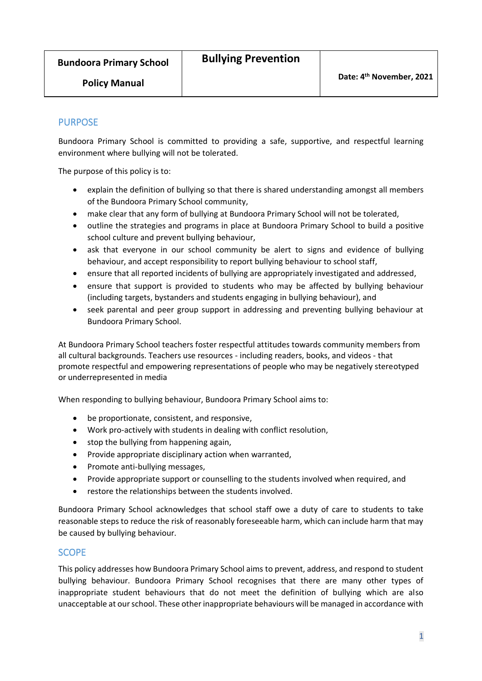**Bundoora Primary School**

## PURPOSE

Bundoora Primary School is committed to providing a safe, supportive, and respectful learning environment where bullying will not be tolerated.

The purpose of this policy is to:

- explain the definition of bullying so that there is shared understanding amongst all members of the Bundoora Primary School community,
- make clear that any form of bullying at Bundoora Primary School will not be tolerated,
- outline the strategies and programs in place at Bundoora Primary School to build a positive school culture and prevent bullying behaviour,
- ask that everyone in our school community be alert to signs and evidence of bullying behaviour, and accept responsibility to report bullying behaviour to school staff,
- ensure that all reported incidents of bullying are appropriately investigated and addressed,
- ensure that support is provided to students who may be affected by bullying behaviour (including targets, bystanders and students engaging in bullying behaviour), and
- seek parental and peer group support in addressing and preventing bullying behaviour at Bundoora Primary School.

At Bundoora Primary School teachers foster respectful attitudes towards community members from all cultural backgrounds. Teachers use resources - including readers, books, and videos - that promote respectful and empowering representations of people who may be negatively stereotyped or underrepresented in media

When responding to bullying behaviour, Bundoora Primary School aims to:

- be proportionate, consistent, and responsive,
- Work pro-actively with students in dealing with conflict resolution,
- stop the bullying from happening again,
- Provide appropriate disciplinary action when warranted,
- Promote anti-bullying messages,
- Provide appropriate support or counselling to the students involved when required, and
- restore the relationships between the students involved.

Bundoora Primary School acknowledges that school staff owe a duty of care to students to take reasonable steps to reduce the risk of reasonably foreseeable harm, which can include harm that may be caused by bullying behaviour.

## **SCOPE**

This policy addresses how Bundoora Primary School aims to prevent, address, and respond to student bullying behaviour. Bundoora Primary School recognises that there are many other types of inappropriate student behaviours that do not meet the definition of bullying which are also unacceptable at our school. These other inappropriate behaviours will be managed in accordance with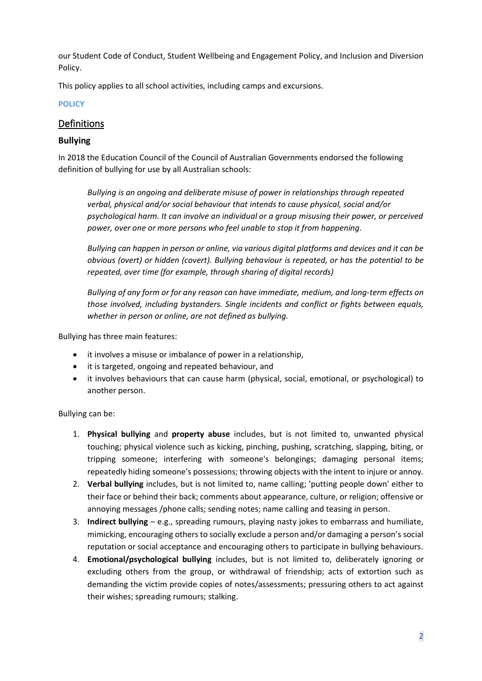our Student Code of Conduct, Student Wellbeing and Engagement Policy, and Inclusion and Diversion Policy.

This policy applies to all school activities, including camps and excursions.

#### **POLICY**

# Definitions

#### **Bullying**

In 2018 the Education Council of the Council of Australian Governments endorsed the following definition of bullying for use by all Australian schools:

*Bullying is an ongoing and deliberate misuse of power in relationships through repeated verbal, physical and/or social behaviour that intends to cause physical, social and/or psychological harm. It can involve an individual or a group misusing their power, or perceived power, over one or more persons who feel unable to stop it from happening.*

*Bullying can happen in person or online, via various digital platforms and devices and it can be obvious (overt) or hidden (covert). Bullying behaviour is repeated, or has the potential to be repeated, over time (for example, through sharing of digital records)*

*Bullying of any form or for any reason can have immediate, medium, and long-term effects on those involved, including bystanders. Single incidents and conflict or fights between equals, whether in person or online, are not defined as bullying.*

Bullying has three main features:

- it involves a misuse or imbalance of power in a relationship,
- it is targeted, ongoing and repeated behaviour, and
- it involves behaviours that can cause harm (physical, social, emotional, or psychological) to another person.

Bullying can be:

- 1. **Physical bullying** and **property abuse** includes, but is not limited to, unwanted physical touching; physical violence such as kicking, pinching, pushing, scratching, slapping, biting, or tripping someone; interfering with someone's belongings; damaging personal items; repeatedly hiding someone's possessions; throwing objects with the intent to injure or annoy.
- 2. **Verbal bullying** includes, but is not limited to, name calling; 'putting people down' either to their face or behind their back; comments about appearance, culture, or religion; offensive or annoying messages /phone calls; sending notes; name calling and teasing in person.
- 3. **Indirect bullying** e.g., spreading rumours, playing nasty jokes to embarrass and humiliate, mimicking, encouraging others to socially exclude a person and/or damaging a person's social reputation or social acceptance and encouraging others to participate in bullying behaviours.
- 4. **Emotional/psychological bullying** includes, but is not limited to, deliberately ignoring or excluding others from the group, or withdrawal of friendship; acts of extortion such as demanding the victim provide copies of notes/assessments; pressuring others to act against their wishes; spreading rumours; stalking.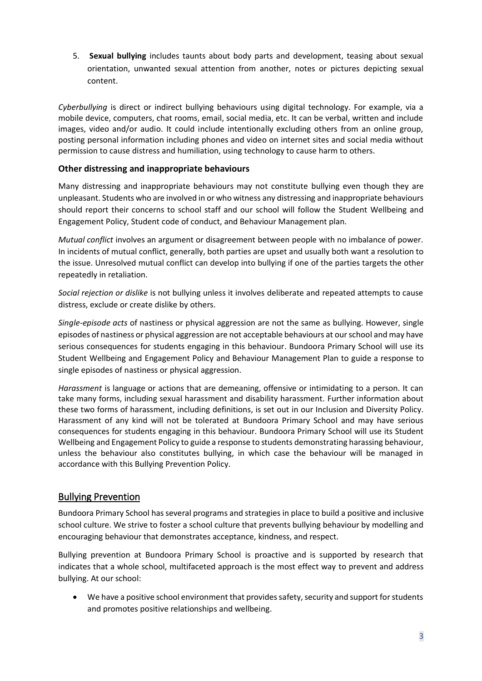5. **Sexual bullying** includes taunts about body parts and development, teasing about sexual orientation, unwanted sexual attention from another, notes or pictures depicting sexual content.

*Cyberbullying* is direct or indirect bullying behaviours using digital technology. For example, via a mobile device, computers, chat rooms, email, social media, etc. It can be verbal, written and include images, video and/or audio. It could include intentionally excluding others from an online group, posting personal information including phones and video on internet sites and social media without permission to cause distress and humiliation, using technology to cause harm to others.

#### **Other distressing and inappropriate behaviours**

Many distressing and inappropriate behaviours may not constitute bullying even though they are unpleasant. Students who are involved in or who witness any distressing and inappropriate behaviours should report their concerns to school staff and our school will follow the Student Wellbeing and Engagement Policy, Student code of conduct, and Behaviour Management plan.

*Mutual conflict* involves an argument or disagreement between people with no imbalance of power. In incidents of mutual conflict, generally, both parties are upset and usually both want a resolution to the issue. Unresolved mutual conflict can develop into bullying if one of the parties targets the other repeatedly in retaliation.

*Social rejection or dislike* is not bullying unless it involves deliberate and repeated attempts to cause distress, exclude or create dislike by others.

*Single-episode acts* of nastiness or physical aggression are not the same as bullying. However, single episodes of nastiness or physical aggression are not acceptable behaviours at our school and may have serious consequences for students engaging in this behaviour. Bundoora Primary School will use its Student Wellbeing and Engagement Policy and Behaviour Management Plan to guide a response to single episodes of nastiness or physical aggression.

*Harassment* is language or actions that are demeaning, offensive or intimidating to a person. It can take many forms, including sexual harassment and disability harassment. Further information about these two forms of harassment, including definitions, is set out in our Inclusion and Diversity Policy. Harassment of any kind will not be tolerated at Bundoora Primary School and may have serious consequences for students engaging in this behaviour. Bundoora Primary School will use its Student Wellbeing and Engagement Policy to guide a response to students demonstrating harassing behaviour, unless the behaviour also constitutes bullying, in which case the behaviour will be managed in accordance with this Bullying Prevention Policy.

## Bullying Prevention

Bundoora Primary School has several programs and strategies in place to build a positive and inclusive school culture. We strive to foster a school culture that prevents bullying behaviour by modelling and encouraging behaviour that demonstrates acceptance, kindness, and respect.

Bullying prevention at Bundoora Primary School is proactive and is supported by research that indicates that a whole school, multifaceted approach is the most effect way to prevent and address bullying. At our school:

• We have a positive school environment that provides safety, security and support for students and promotes positive relationships and wellbeing.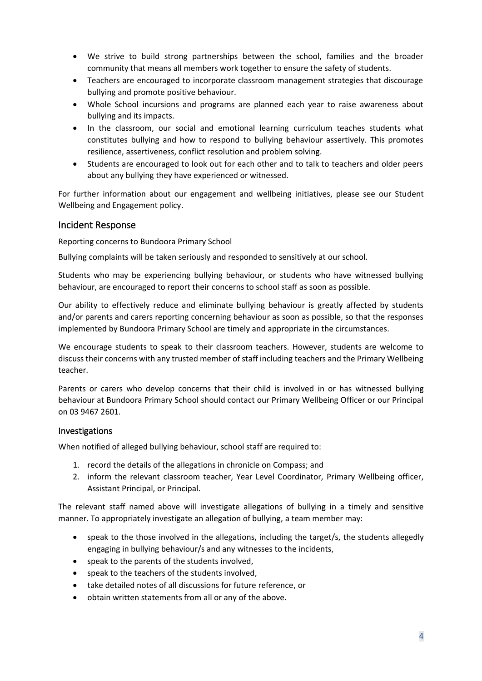- We strive to build strong partnerships between the school, families and the broader community that means all members work together to ensure the safety of students.
- Teachers are encouraged to incorporate classroom management strategies that discourage bullying and promote positive behaviour.
- Whole School incursions and programs are planned each year to raise awareness about bullying and its impacts.
- In the classroom, our social and emotional learning curriculum teaches students what constitutes bullying and how to respond to bullying behaviour assertively. This promotes resilience, assertiveness, conflict resolution and problem solving.
- Students are encouraged to look out for each other and to talk to teachers and older peers about any bullying they have experienced or witnessed.

For further information about our engagement and wellbeing initiatives, please see our Student Wellbeing and Engagement policy.

## Incident Response

Reporting concerns to Bundoora Primary School

Bullying complaints will be taken seriously and responded to sensitively at our school.

Students who may be experiencing bullying behaviour, or students who have witnessed bullying behaviour, are encouraged to report their concerns to school staff as soon as possible.

Our ability to effectively reduce and eliminate bullying behaviour is greatly affected by students and/or parents and carers reporting concerning behaviour as soon as possible, so that the responses implemented by Bundoora Primary School are timely and appropriate in the circumstances.

We encourage students to speak to their classroom teachers. However, students are welcome to discuss their concerns with any trusted member of staff including teachers and the Primary Wellbeing teacher.

Parents or carers who develop concerns that their child is involved in or has witnessed bullying behaviour at Bundoora Primary School should contact our Primary Wellbeing Officer or our Principal on 03 9467 2601.

#### Investigations

When notified of alleged bullying behaviour, school staff are required to:

- 1. record the details of the allegations in chronicle on Compass; and
- 2. inform the relevant classroom teacher, Year Level Coordinator, Primary Wellbeing officer, Assistant Principal, or Principal.

The relevant staff named above will investigate allegations of bullying in a timely and sensitive manner. To appropriately investigate an allegation of bullying, a team member may:

- speak to the those involved in the allegations, including the target/s, the students allegedly engaging in bullying behaviour/s and any witnesses to the incidents,
- speak to the parents of the students involved,
- speak to the teachers of the students involved,
- take detailed notes of all discussions for future reference, or
- obtain written statements from all or any of the above.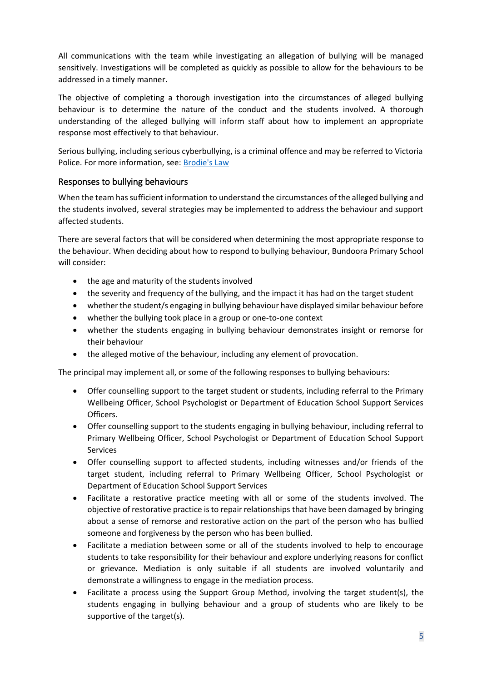All communications with the team while investigating an allegation of bullying will be managed sensitively. Investigations will be completed as quickly as possible to allow for the behaviours to be addressed in a timely manner.

The objective of completing a thorough investigation into the circumstances of alleged bullying behaviour is to determine the nature of the conduct and the students involved. A thorough understanding of the alleged bullying will inform staff about how to implement an appropriate response most effectively to that behaviour.

Serious bullying, including serious cyberbullying, is a criminal offence and may be referred to Victoria Police. For more information, see: [Brodie's Law](https://www.education.vic.gov.au/Documents/about/programs/bullystoppers/bsadvicebrodieslaw01.pdf)

#### Responses to bullying behaviours

When the team has sufficient information to understand the circumstances of the alleged bullying and the students involved, several strategies may be implemented to address the behaviour and support affected students.

There are several factors that will be considered when determining the most appropriate response to the behaviour. When deciding about how to respond to bullying behaviour, Bundoora Primary School will consider:

- the age and maturity of the students involved
- the severity and frequency of the bullying, and the impact it has had on the target student
- whether the student/s engaging in bullying behaviour have displayed similar behaviour before
- whether the bullying took place in a group or one-to-one context
- whether the students engaging in bullying behaviour demonstrates insight or remorse for their behaviour
- the alleged motive of the behaviour, including any element of provocation.

The principal may implement all, or some of the following responses to bullying behaviours:

- Offer counselling support to the target student or students, including referral to the Primary Wellbeing Officer, School Psychologist or Department of Education School Support Services Officers.
- Offer counselling support to the students engaging in bullying behaviour, including referral to Primary Wellbeing Officer, School Psychologist or Department of Education School Support Services
- Offer counselling support to affected students, including witnesses and/or friends of the target student, including referral to Primary Wellbeing Officer, School Psychologist or Department of Education School Support Services
- Facilitate a restorative practice meeting with all or some of the students involved. The objective of restorative practice is to repair relationships that have been damaged by bringing about a sense of remorse and restorative action on the part of the person who has bullied someone and forgiveness by the person who has been bullied.
- Facilitate a mediation between some or all of the students involved to help to encourage students to take responsibility for their behaviour and explore underlying reasons for conflict or grievance. Mediation is only suitable if all students are involved voluntarily and demonstrate a willingness to engage in the mediation process.
- Facilitate a process using the Support Group Method, involving the target student(s), the students engaging in bullying behaviour and a group of students who are likely to be supportive of the target(s).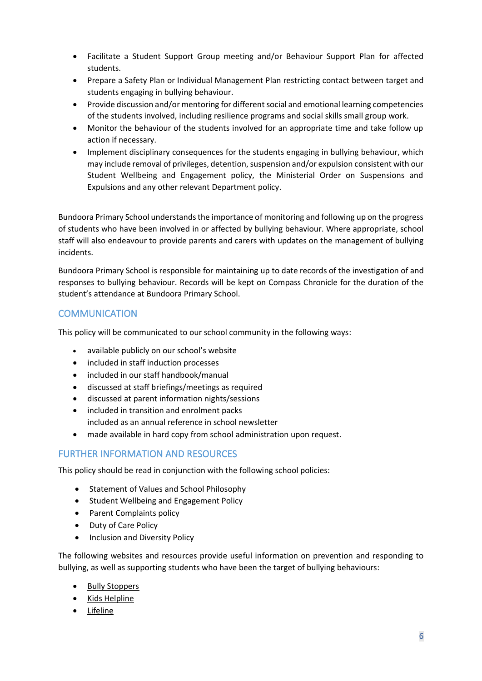- Facilitate a Student Support Group meeting and/or Behaviour Support Plan for affected students.
- Prepare a Safety Plan or Individual Management Plan restricting contact between target and students engaging in bullying behaviour.
- Provide discussion and/or mentoring for different social and emotional learning competencies of the students involved, including resilience programs and social skills small group work.
- Monitor the behaviour of the students involved for an appropriate time and take follow up action if necessary.
- Implement disciplinary consequences for the students engaging in bullying behaviour, which may include removal of privileges, detention, suspension and/or expulsion consistent with our Student Wellbeing and Engagement policy, the Ministerial Order on Suspensions and Expulsions and any other relevant Department policy.

Bundoora Primary School understands the importance of monitoring and following up on the progress of students who have been involved in or affected by bullying behaviour. Where appropriate, school staff will also endeavour to provide parents and carers with updates on the management of bullying incidents.

Bundoora Primary School is responsible for maintaining up to date records of the investigation of and responses to bullying behaviour. Records will be kept on Compass Chronicle for the duration of the student's attendance at Bundoora Primary School.

# **COMMUNICATION**

This policy will be communicated to our school community in the following ways:

- available publicly on our school's website
- included in staff induction processes
- included in our staff handbook/manual
- discussed at staff briefings/meetings as required
- discussed at parent information nights/sessions
- included in transition and enrolment packs included as an annual reference in school newsletter
- made available in hard copy from school administration upon request.

# FURTHER INFORMATION AND RESOURCES

This policy should be read in conjunction with the following school policies:

- Statement of Values and School Philosophy
- Student Wellbeing and Engagement Policy
- Parent Complaints policy
- Duty of Care Policy
- Inclusion and Diversity Policy

The following websites and resources provide useful information on prevention and responding to bullying, as well as supporting students who have been the target of bullying behaviours:

- [Bully Stoppers](https://www.education.vic.gov.au/about/programs/bullystoppers/Pages/default.aspx)
- Kids [Helpline](https://kidshelpline.com.au/)
- [Lifeline](https://www.lifeline.org.au/)